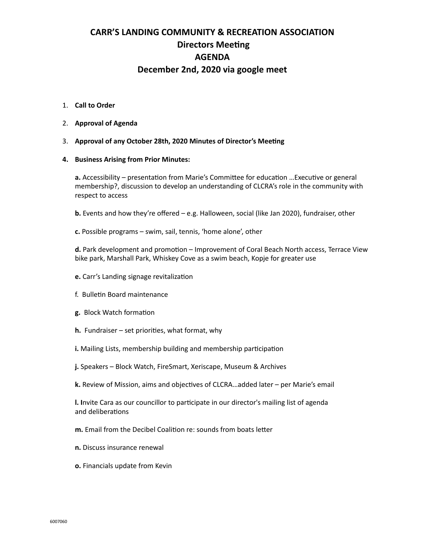# **CARR'S LANDING COMMUNITY & RECREATION ASSOCIATION Directors Meeting AGENDA December 2nd, 2020 via google meet**

### 1. **Call to Order**

- 2. **Approval of Agenda**
- 3. **Approval of any October 28th, 2020 Minutes of Director's Meeting**

### **4. Business Arising from Prior Minutes:**

**a.** Accessibility – presentation from Marie's Committee for education …Executive or general membership?, discussion to develop an understanding of CLCRA's role in the community with respect to access

**b.** Events and how they're offered – e.g. Halloween, social (like Jan 2020), fundraiser, other

**c.** Possible programs – swim, sail, tennis, 'home alone', other

**d.** Park development and promotion – Improvement of Coral Beach North access, Terrace View bike park, Marshall Park, Whiskey Cove as a swim beach, Kopje for greater use

- **e.** Carr's Landing signage revitalization
- f. Bulletin Board maintenance
- **g.** Block Watch formation
- **h.** Fundraiser set priorities, what format, why
- **i.** Mailing Lists, membership building and membership participation
- **j.** Speakers Block Watch, FireSmart, Xeriscape, Museum & Archives
- **k.** Review of Mission, aims and objectives of CLCRA…added later per Marie's email

**l. I**nvite Cara as our councillor to participate in our director's mailing list of agenda and deliberations

- **m.** Email from the Decibel Coalition re: sounds from boats letter
- **n.** Discuss insurance renewal
- **o.** Financials update from Kevin